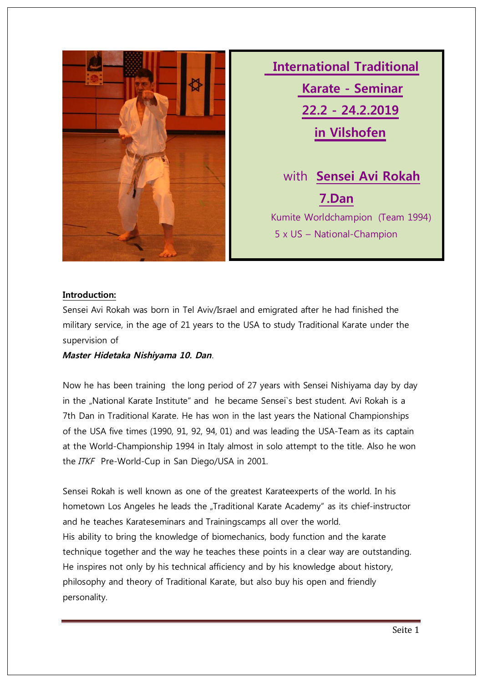

 **International Traditional Karate - Seminar 22.2 - 24.2.2019 in Vilshofen** with **Sensei Avi Rokah 7.Dan** Kumite Worldchampion (Team 1994) 5 x US – National-Champion

### **Introduction:**

Sensei Avi Rokah was born in Tel Aviv/Israel and emigrated after he had finished the military service, in the age of 21 years to the USA to study Traditional Karate under the supervision of

**Master Hidetaka Nishiyama 10. Dan**.

Now he has been training the long period of 27 years with Sensei Nishiyama day by day in the "National Karate Institute" and he became Sensei`s best student. Avi Rokah is a 7th Dan in Traditional Karate. He has won in the last years the National Championships of the USA five times (1990, 91, 92, 94, 01) and was leading the USA-Team as its captain at the World-Championship 1994 in Italy almost in solo attempt to the title. Also he won the ITKF Pre-World-Cup in San Diego/USA in 2001.

Sensei Rokah is well known as one of the greatest Karateexperts of the world. In his hometown Los Angeles he leads the "Traditional Karate Academy" as its chief-instructor and he teaches Karateseminars and Trainingscamps all over the world. His ability to bring the knowledge of biomechanics, body function and the karate technique together and the way he teaches these points in a clear way are outstanding. He inspires not only by his technical afficiency and by his knowledge about history, philosophy and theory of Traditional Karate, but also buy his open and friendly personality.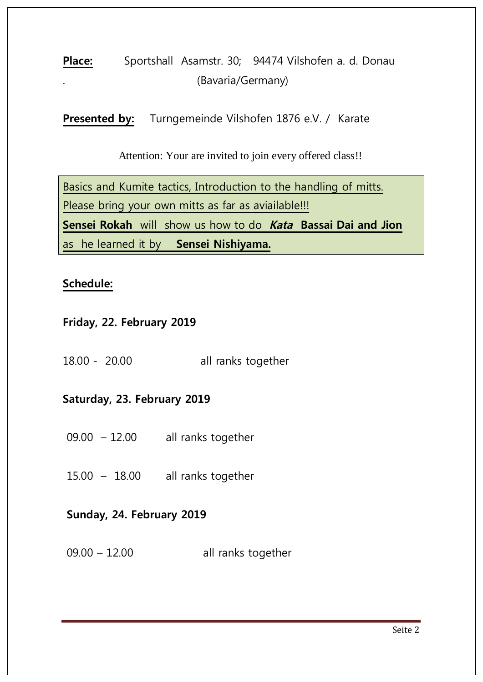## Place: Sportshall Asamstr. 30; 94474 Vilshofen a. d. Donau . (Bavaria/Germany)

Presented by: Turngemeinde Vilshofen 1876 e.V. / Karate

Attention: Your are invited to join every offered class!!

Basics and Kumite tactics, Introduction to the handling of mitts. Please bring your own mitts as far as aviailable!!! **Sensei Rokah** will show us how to do **Kata Bassai Dai and Jion** as he learned it by **Sensei Nishiyama.**

### **Schedule:**

### **Friday, 22. February 2019**

18.00 - 20.00 all ranks together

### **Saturday, 23. February 2019**

- 09.00 12.00 all ranks together
- 15.00 18.00 all ranks together

### **Sunday, 24. February 2019**

09.00 – 12.00 all ranks together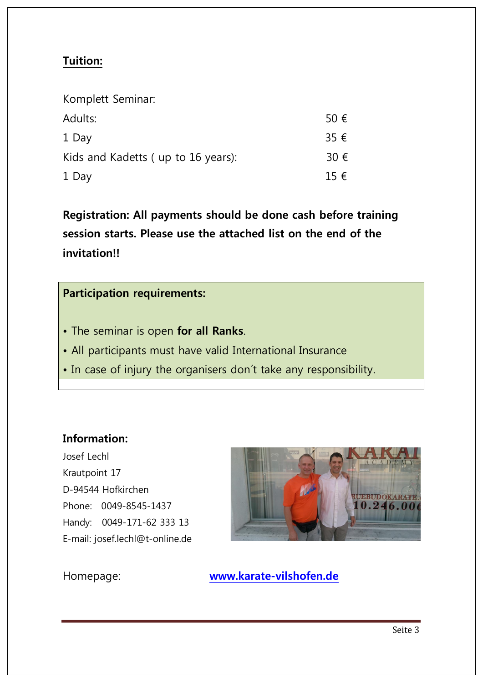### **Tuition:**

| Komplett Seminar:                  |               |
|------------------------------------|---------------|
| Adults:                            | 50 $\epsilon$ |
| 1 Day                              | 35 $\epsilon$ |
| Kids and Kadetts (up to 16 years): | 30 $\epsilon$ |
| 1 Day                              | $15 \in$      |

**Registration: All payments should be done cash before training session starts. Please use the attached list on the end of the invitation!!**

### **Participation requirements:**

- The seminar is open **for all Ranks**.
- All participants must have valid International Insurance
- In case of injury the organisers don´t take any responsibility.

### **Information:**

Josef Lechl Krautpoint 17 D-94544 Hofkirchen Phone: 0049-8545-1437 Handy: 0049-171-62 333 13 E-mail: [josef.lechl@t-online.de](mailto:josef.lechl@t-online.de)



# Homepage: **<www.karate-vilshofen.de>**<br><u>www.karate-vilshofen.de</u><br>Jean-Jean-Jean-Ville (1990)<br>Jean-Jean-Ville (1990)<br>Jean-Jean-Ville (1990)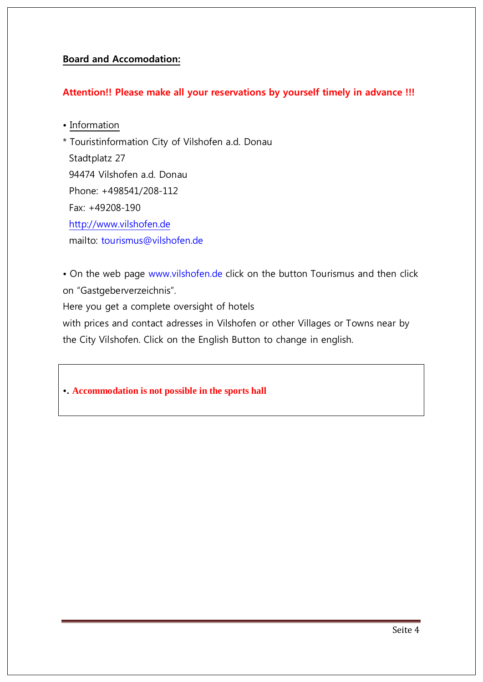### **Board and Accomodation:**

### **Attention!! Please make all your reservations by yourself timely in advance !!!**

• Information

\* Touristinformation City of Vilshofen a.d. Donau Stadtplatz 27 94474 Vilshofen a.d. Donau Phone: +498541/208-112 Fax: +49208-190 <http://www.vilshofen.de> mailto: [tourismus@vilshofen.de](mailto:tourismus@vilshofen.de)

• On the web page<www.vilshofen.de> click on the button Tourismus and then click on "Gastgeberverzeichnis".

Here you get a complete oversight of hotels

with prices and contact adresses in Vilshofen or other Villages or Towns near by the City Vilshofen. Click on the English Button to change in english.

**•. Accommodation is not possible in the sports hall**